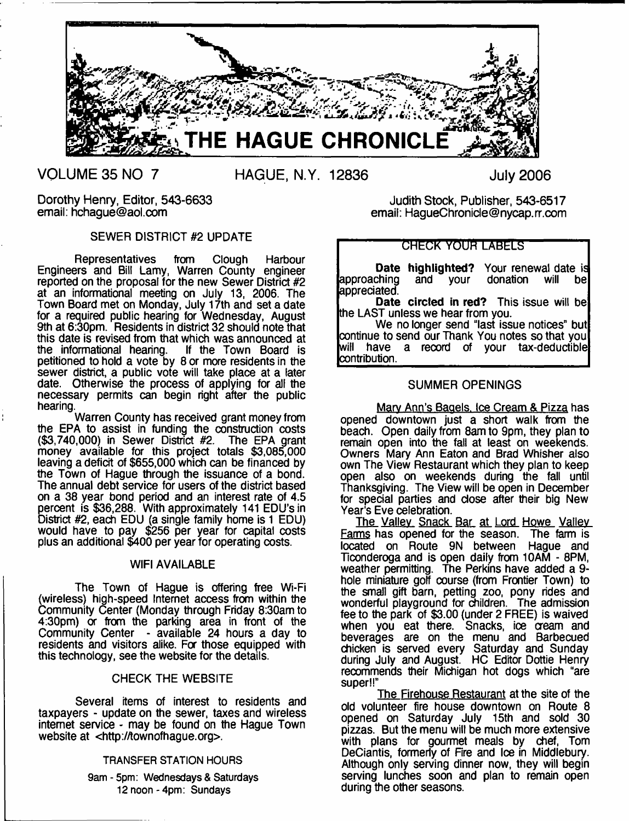

**VOLUME 35 NO 7**

**HAGUE, N.Y. 12836**

**July 2006**

Dorothy Henry, Editor, 543-6633 email: [hchague@aol.com](mailto:hchague@aol.com)

# SEWER DISTRICT #2 UPDATE

Representatives from Clough Harbour Engineers and Bill Lamy, Warren County engineer reported on the proposal for the new Sewer District #2 at an informational meeting on July 13, 2006. The Town Board met on Monday, July 17th and set a date for a required public hearing for Wednesday, August 9th at 6:30pm. Residents in district 32 should note that this date is revised from that which was announced at the informational hearing. If the Town Board is petitioned to hold a vote by 8 or more residents in the sewer district, a public vote will take place at a later date. Otherwise the process of applying for all the necessary permits can begin right after the public hearing.

Warren County has received grant money from the EPA to assist in funding the construction costs (\$3,740,000) in Sewer District #2. The EPA grant money available for this project totals \$3,085,000 leaving a deficit of \$655,000 which can be financed by the Town of Hague through the issuance of a bond. The annual debt service for users of the district based on a 38 year bond period and an interest rate of 4.5 percent is \$36,288. With approximately 141 EDU's in District #2, each EDU (a single family home is 1 EDU) would have to pay \$256 per year for capital costs plus an additional \$400 per year for operating costs.

# WIFI AVAILABLE

The Town of Hague is offering free Wi-Fi (wireless) high-speed Internet access from within the Community Center (Monday through Friday 8:30am to 4:30pm) or from the parking area in front of the Community Center - available 24 hours a day to residents and visitors alike. For those equipped with this technology, see the website for the details.

# CHECK THE WEBSITE

Several items of interest to residents and taxpayers - update on the sewer, taxes and wireless internet service - may be found on the Hague Town website at <[http://townofhague.org>](http://townofhague.org).

#### **TRANSFER STATION HOURS**

**9am - 5pm: Wednesdays & Saturdays 12 noon-4pm : Sundays**

Judith Stock, Publisher, 543-6517 email: [HagueChronide@nycap.rr.com](mailto:HagueChronide@nycap.rr.com)

# GHEGK YOUR LABELS

**Date highlighted?** Your renewal date is donation will be approaching and your appreciated.

**Date circled in red?** This issue will be the LAST unless we hear from you.

We no longer send "last issue notices" but continue to send our Thank You notes so that you<br>will have a record of your tax-deductible a record of your tax-deductible contribution.

# SUMMER OPENINGS

Marv Ann's Baaels. Ice Cream & Pizza has opened downtown just a short walk from the beach. Open daily from 8am to 9pm, they plan to remain open into the fall at least on weekends. Owners Mary Ann Eaton and Brad Whisher also own The View Restaurant which they plan to keep open also on weekends during the fall until Thanksgiving. The View will be open in December for special parties and close after their big New Year's Eve celebration.

The Valley Snack Bar at Lord Howe Valley Farms has opened for the season. The farm is located on Route 9N between Hague and Ticonderoga and is open daily from 10AM - 8PM, weather permitting. The Perkins have added a 9 hole miniature golf course (from Frontier Town) to the small gift barn, petting zoo, pony rides and wonderful playground for children. The admission fee to the park of \$3.00 (under 2 FREE) is waived when you eat there. Snacks, ice cream and beverages are on the menu and Barbecued chicken is served every Saturday and Sunday during July and August. HC Editor Dottie Henry recommends their Michigan hot dogs which "are super!!"

The Firehouse Restaurant at the site of the old volunteer fire house downtown on Route 8 opened on Saturday July 15th and sold 30 pizzas. But the menu will be much more extensive with plans for gourmet meals by chef, Tom DeCiantis, formerly of Fire and Ice in Middlebury. Although only serving dinner now, they will begin serving lunches soon and plan to remain open during the other seasons.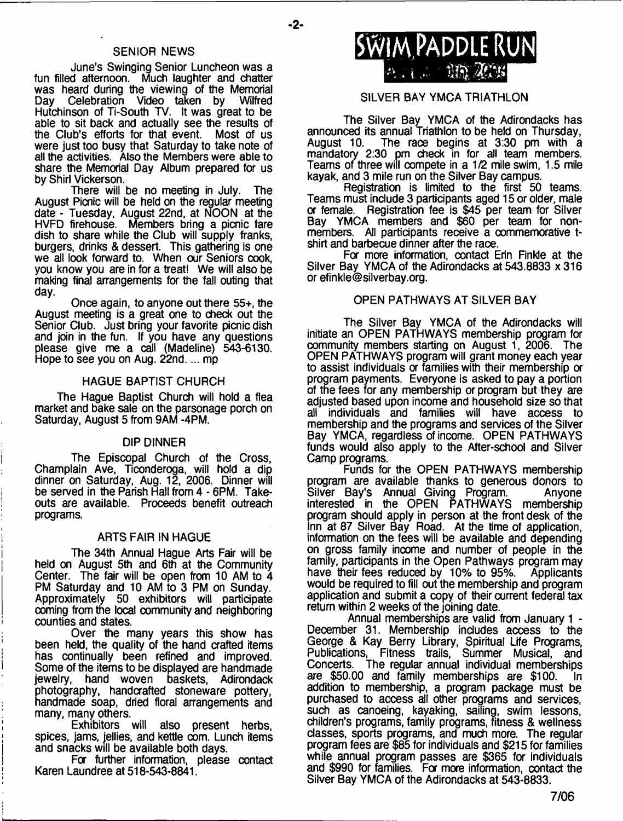#### **-2-**

# SENIOR NEWS

June's Swinging Senior Luncheon was a fun filled afternoon. Much laughter and chatter was heard during the viewing of the Memorial<br>Day Celebration Video taken by Wilfred Celebration Video taken by Hutchinson of Ti-South TV. It was great to be able to sit back and actually see the results of the Club's efforts for that event. Most of us were just too busy that Saturday to take note of all the activities. Also the Members were able to share the Memorial Day Album prepared for us by Shirl Vickerson.

There will be no meeting in July. The August Picnic will be held on the regular meeting date - Tuesday, August 22nd, at NOON at the HVFD firehouse. Members bring a picnic fare dish to share while the Club will supply franks, burgers, drinks & dessert. This gathering is one we all look forward to. When our Seniors cook, you know you are in for a treat! We will also be making final arrangements for the fall outing that day.

Once again, to anyone out there 55+, the August meeting is a great one to check out the Senior Club. Just bring your favorite picnic dish and join in the fun. If you have any questions please give me a call (Madeline) 543-6130. Hope to see you on Aug. 22nd.... mp

### HAGUE BAPTIST CHURCH

The Hague Baptist Church will hold a flea market and bake sale on the parsonage porch on Saturday, August 5 from 9AM -4PM.

#### DIP DINNER

The Episcopal Church of the Cross, Champlain Ave, Ticonderoga, will hold a dip dinner on Saturday, Aug. 12, 2006. Dinner will be served in the Parish Hall from 4 - 6PM. Takeouts are available. Proceeds benefit outreach programs.

#### ARTS FAIR IN HAGUE

The 34th Annual Hague Arts Fair will be held on August 5th and 6th at the Community Center. The fair will be open from 10 AM to 4 PM Saturday and 10 AM to 3 PM on Sunday. Approximately 50 exhibitors will participate coming from the local community and neighboring counties and states.

Over the many years this show has been held, the quality of the hand crafted items has continually been refined and improved. Some of the items to be displayed are handmade ewelry, hand woven baskets, Adirondack photography, handcrafted stoneware pottery, handmade soap, dried floral arrangements and many, many others.<br>Exhibitors will

also present herbs, spices, jams, jellies, and kettle com. Lunch items and snacks will be available both days.

For further information, please contact Karen Laundree at 518-543-8841.



# SILVER BAY YMCA TRIATHLON

The Silver Bay YMCA of the Adirondacks has announced its annual Triathlon to be held on Thursday, August 10. The race begins at 3:30 pm with a mandatory 2:30 pm check in for all team members. Teams of three will compete in a 1/2 mile swim, 1.5 mile kayak, and 3 mile run on the Silver Bay campus.

Registration is limited to the first 50 teams. Teams must include 3 participants aged 15 or older, male or female. Registration fee is \$45 per team for Silver Bay YMCA members and \$60 per team for nonmembers. All participants receive a commemorative tshirt and barbecue dinner after the race.

For more information, contact Erin Finkle at the Silver Bay YMCA of the Adirondacks at 543.8833 x 316 or [efinkle@silverbay.org](mailto:efinkle@silverbay.org).

## OPEN PATHWAYS AT SILVER BAY

The Silver Bay YMCA of the Adirondacks will initiate an OPEN PATHWAYS membership program for community members starting on August 1, 2006. The OPEN PATHWAYS program will grant money each year to assist individuals or families with their membership or program payments. Everyone is asked to pay a portion of the fees for any membership or program but they are adjusted based upon income and household size so that all individuals and families will have access to membership and the programs and services of the Silver Bay YMCA, regardless of income. OPEN PATHWAYS funds would also apply to the After-school and Silver Camp programs.

Funds for the OPEN PATHWAYS membership program are available thanks to generous donors to Silver Bay's Annual Giving Program. Anyone interested in the OPEN PATHWAYS membership program should apply in person at the front desk of the Inn at 87 Silver Bay Road. At the time of application, information on the fees will be available and depending on gross family income and number of people in the family, participants in the Open Pathways program may have their fees reduced by 10% to 95%. Applicants would be required to fill out the membership and program application and submit a copy of their current federal tax return within 2 weeks of the joining date.

Annual memberships are valid from January 1 - December 31. Membership includes access to the George & Kay Berry Library, Spiritual Life Programs, Publications, Fitness trails, Summer Musical, and Concerts. The regular annual individual memberships are \$50.00 and family memberships are \$100. In addition to membership, a program package must be purchased to access all other programs and services, such as canoeing, kayaking, sailing, swim lessons, children's programs, family programs, fitness & wellness classes, sports programs, and much more. The regular program fees are \$85 for individuals and \$215 for families while annual program passes are \$365 for individuals and \$990 for families. For more information, contact the Silver Bay YMCA of the Adirondacks at 543-8833.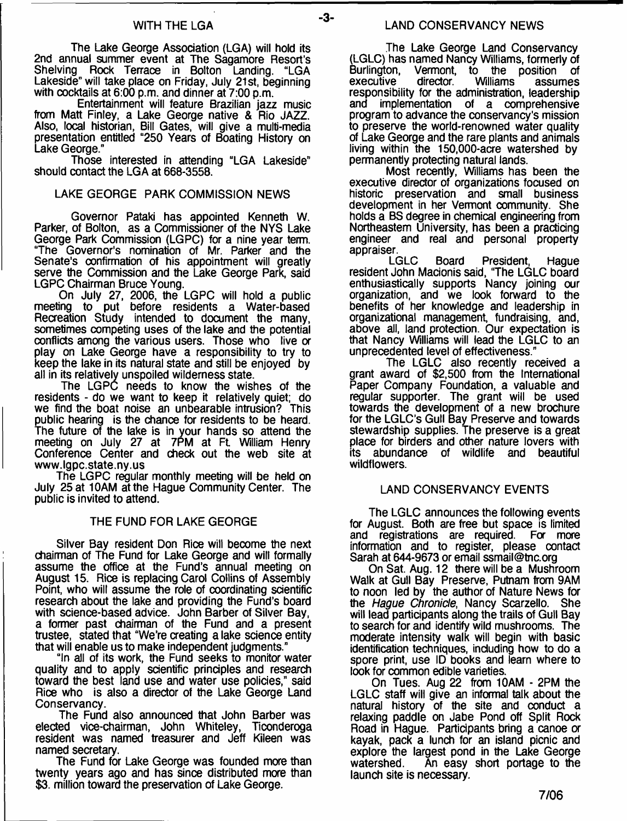#### WITH THE LGA

The Lake George Association (LGA) will hold its 2nd annual summer event at The Sagamore Resort's Shelving Rock Terrace in Bolton Landing. "LGA Lakeside" will take place on Friday, July 21st, beginning with cocktails at 6:00 p.m. and dinner at 7:00 p.m.

Entertainment will feature Brazilian jazz music from Matt Finley, a Lake George native & Rio JAZZ. Also, local historian, Bill Gates, will give a multi-media presentation entitled "250 Years of Boating History on Lake George."

Those interested in attending "LGA Lakeside" should contact the LGA at 668-3558.

# LAKE GEORGE PARK COMMISSION NEWS

Governor Pataki has appointed Kenneth W. Parker, of Bolton, as a Commissioner of the NYS Lake George Park Commission (LGPC) for a nine year term. "The Governor's nomination of Mr. Parker and the Senate's confirmation of his appointment will greatly serve the Commission and the Lake George Park, said LGPC Chairman Bruce Young.

On July 27, 2006, the LGPC will hold a public meeting to put before residents a Water-based Recreation Study intended to document the many, sometimes competing uses of the lake and the potential conflicts among the various users. Those who live or play on Lake George have a responsibility to try to keep the lake in its natural state and still be enjoyed by all in its relatively unspoiled wilderness state.

The LGPC needs to know the wishes of the residents - do we want to keep it relatively quiet; do we find the boat noise an unbearable intrusion? This public hearing is the chance for residents to be heard. The future of the lake is in your hands so attend the meeting on July 27 at 7PM at Ft William Henry Conference Center and check out the web site at [www.lgpc.state.ny.us](http://www.lgpc.state.ny.us)

The LGPC regular monthly meeting will be held on July 25 at 10AM at the Hague Community Center. The public is invited to attend.

# THE FUND FOR LAKE GEORGE

Silver Bay resident Don Rice will become the next chairman of The Fund for Lake George and will formally assume the office at the Fund's annual meeting on August 15. Rice is replacing Carol Collins of Assembly Point, who will assume the role of coordinating scientific research about the lake and providing the Fund's board with science-based advice. John Barber of Silver Bay, a former past chairman of the Fund and a present trustee, stated that "We're creating a lake science entity that will enable us to make independent judgments."

"In all of its work, the Fund seeks to monitor water quality and to apply scientific principles and research toward the best land use and water use policies," said Rice who is also a director of the Lake George Land Conservancy.

The Fund also announced that John Barber was elected vice-chairman, John Whiteley, Ticonderoga resident was named treasurer and Jeff Kileen was named secretary.

The Fund for Lake George was founded more than twenty years ago and has since distributed more than \$3. million toward the preservation of Lake George.

 $-3-$ 

The Lake George Land Conservancy (LGLC) has named Nancy Williams, formerly of<br>Burlington, Vermont, to the position of Burlington, Vermont, to the position of<br>executive director. Williams assumes executive director. Williams assumes responsibility for the administration, leadership and implementation of a comprehensive program to advance the conservancy's mission to preserve the world-renowned water quality of Lake George and the rare plants and animals living within the 150,000-acre watershed by permanently protecting natural lands.

Most recently, Williams has been the executive director of organizations focused on historic preservation and small business development in her Vermont community. She holds a BS degree in chemical engineering from Northeastern University, has been a practicing engineer and real and personal property

appraiser.<br>LGLC Board President, Haque resident John Macionis said, "The LGLC board enthusiastically supports Nancy joining our organization, and we look forward to the benefits of her knowledge and leadership in organizational management, fundraising, and, above all, land protection. Our expectation is that Nancy Williams will lead the LGLC to an unprecedented level of effectiveness."

The LGLC also recently received a grant award of \$2,500 from the International Paper Company Foundation, a valuable and regular supporter. The grant will be used towards the development of a new brochure for the LGLC's Gull Bay Preserve and towards stewardship supplies. The preserve is a great place for birders and other nature lovers with its abundance of wildlife and beautiful wildflowers.

# LAND CONSERVANCY EVENTS

The LGLC announces the following events for August. Both are free but space is limited and registrations are required. For more information and to register, please contact Sarah at 644-9673 or email [ssmail@tnc.org](mailto:ssmail@tnc.org)

On Sat. Aug. 12 there will be a Mushroom Walk at Gull Bay Preserve, Putnam from 9AM to noon led by the author of Nature News for the *Hague Chronicle*, Nancy Scarzello. She will lead participants along the trails of Gull Bay to search for and identify wild mushrooms. The moderate intensity walk will begin with basic identification techniques, including how to do a spore print, use ID books and learn where to look for common edible varieties.

On Tues. Aug 22 from 10AM - 2PM the LGLC staff will give an informal talk about the natural history of the site and conduct a relaxing paddle on Jabe Pond off Split Rock Road in Hague. Participants bring a canoe or kayak, pack a lunch for an island picnic and explore the largest pond in the Lake George<br>watershed. An easy short portage to the An easy short portage to the launch site is necessary.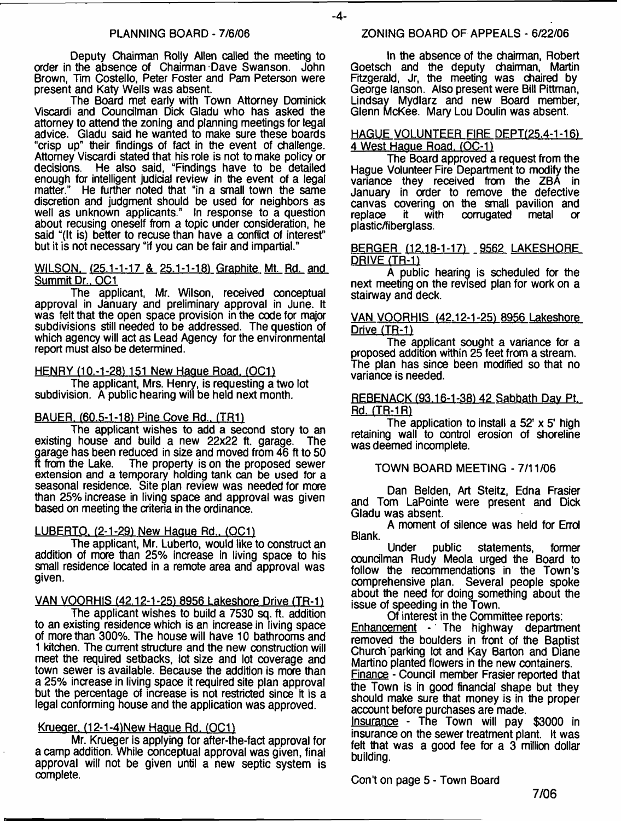Deputy Chairman Roily Allen called the meeting to order in the absence of Chairman Dave Swanson. John Brown, Tim Costello, Peter Foster and Pam Peterson were present and Katy Wells was absent.

The Board met early with Town Attorney Dominick Viscardi and Councilman Dick Gladu who has asked the attorney to attend the zoning and planning meetings for legal advice. Gladu said he wanted to make sure these boards "crisp up" their findings of fact in the event of challenge. Attorney Viscardi stated that his role is not to make policy or decisions. He also said, "Findings have to be detailed enough for intelligent judicial review in the event of a legal matter." He further noted that "in a small town the same discretion and judgment should be used for neighbors as well as unknown applicants." In response to a question about recusing oneself from a topic under consideration, he said "(It is) better to recuse than have a conflict of interest" but it is not necessary "if you can be fair and impartial."

#### WILSON. (25.1-1-17 & 25.1-1-18) Graphite Mt. Rd. and Summit Dr., OC1

The applicant, Mr. Wilson, received conceptual approval in January and preliminary approval in June. It was felt that the open space provision in the code for major subdivisions still needed to be addressed. The question of which agency will act as Lead Agency for the environmental report must also be determined.

#### HENRY (10.-1-28) 151 New Hague Road. (OC1)

The applicant, Mrs. Henry, is requesting a two lot subdivision. A public hearing will be held next month.

# BAUER. (60.5-1-18) Pine Cove Rd., (TR1)

The applicant wishes to add a second story to an existing house and build a new 22x22 ft. garage. The garage has been reduced in size and moved from 46 ft to 50 ft from the Lake. The property is on the proposed sewer The property is on the proposed sewer. extension and a temporary holding tank can be used for a seasonal residence. Site plan review was needed for more than 25% increase in living space and approval was given based on meeting the criteria in the ordinance.

# LUBERTO. (2-1-29) New Hague Rd., *(OC1)*

The applicant, Mr. Luberto, would like to construct an addition of more than 25% increase in living space to his small residence located in a remote area and approval was given.

VAN VOORHIS (42.12-1-25) 8956 Lakeshore Drive (TR-1)

The applicant wishes to build a 7530 sq. ft. addition to an existing residence which is an increase in living space of more than 300%. The house will have 10 bathrooms and 1 kitchen. The current structure and the new construction will meet the required setbacks, lot size and lot coverage and town sewer is available. Because the addition is more than a 25% increase in living space it required site plan approval but the percentage of increase is not restricted since it is a legal conforming house and the application was approved.

#### Krueger. (12-1-4)New Hague Rd. (QC1)

Mr. Krueger is applying for after-the-fact approval for a camp addition. While conceptual approval was given, final approval will not be given until a new septic system is complete.

#### ZONING BOARD OF APPEALS - 6/22/06

 $-4-$ 

In the absence of the chairman, Robert Goetsch and the deputy chairman, Martin Fitzgerald, Jr, the meeting was chaired by George lanson. Also present were Bill Pittman, Lindsay Mydlarz and new Board member, Glenn McKee. Mary Lou Doulin was absent.

#### HAGUE VOLUNTEER FIRE DEPT(25.4-1-16) 4 West Hague Road. (OC-1)

The Board approved a request from the Hague Volunteer Fire Department to modify the variance they received from the ZBA in January in order to remove the defective canvas covering on the small pavilion and corrugated metal or plastic/fiberglass.

#### BERGER (12.18-1-17) 9562 LAKESHORE DRIVE (TR-1)

A public hearing is scheduled for the next meeting on the revised plan for work on a stairway and deck.

#### VAN VOORHIS (42.12-1-25) 8956 Lakeshore Drive (TR-1)

The applicant sought a variance for a proposed addition within 25 feet from a stream. The plan has since been modified so that no variance is needed.

#### REBENACK (93.16-1-38) 42 Sabbath Dav Pt. Rd. (TR-1R)

The application to install a 52' x 5' high retaining wall to control erosion of shoreline was deemed incomplete.

## TOWN BOARD MEETING - 7/11/06

Dan Belden, Art Steitz, Edna Frasier and Tom LaPointe were present and Dick Gladu was absent.

A moment of silence was held for Errol Blank.

Under public statements, former councilman Rudy Meola urged the Board to follow the recommendations in the Town's comprehensive plan. Several people spoke about the need for doing something about the issue of speeding in the Town.

Of interest in the Committee reports: Enhancement - The highway department removed the boulders in front of the Baptist Church parking lot and Kay Barton and Diane Martino planted flowers in the new containers. Finance - Council member Frasier reported that the Town is in good financial shape but they should make sure that money is in the proper account before purchases are made.

Insurance - The Town will pay \$3000 in insurance on the sewer treatment plant. It was felt that was a good fee for a 3 million dollar building.

Con't on page 5 - Town Board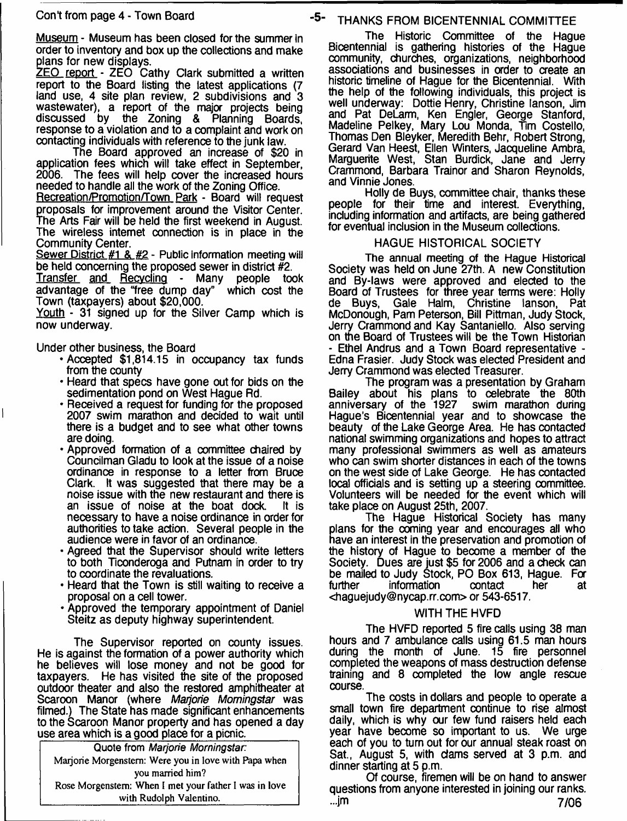Museum - Museum has been closed for the summer in order to inventory and box up the collections and make plans for new displays.

ZEO report - ZEO Cathy Clark submitted a written report to the Board listing the latest applications (7 land use, 4 site plan review, 2 subdivisions and 3 wastewater), a report of the major projects being discussed by the Zoning & Planning Boards, response to a violation and to a complaint and work on contacting individuals with reference to the junk law.

The Board approved an increase of \$20 in application fees which will take effect in September, The fees will help cover the increased hours needed to handle all the work of the Zoning Office.

Recreation/Promotion/Town Park - Board will request proposals for improvement around the Visitor Center. The Arts Fair will be held the first weekend in August. The wireless internet connection is in place in the Community Center.

Sewer District #1 & #2 - Public information meeting will be held concerning the proposed sewer in district #2.

Transfer and Recycling - Many people took advantage of the "free dump day" which cost the Town (taxpayers) about \$20,000.

Youth - 31 signed up for the Silver Camp which is now underway.

Under other business, the Board

- •Accepted \$1,814.15 in occupancy tax funds from the county
- Heard that specs have gone out for bids on the sedimentation pond on West Hague Rd.
- Received a request for funding for the proposed 2007 swim marathon and decided to wait until there is a budget and to see what other towns are doing.
- Approved formation of a committee chaired by Councilman Gladu to look at the issue of a noise ordinance in response to a letter from Bruce Clark. It was suggested that there may be a noise issue with the new restaurant and there is<br>an issue of noise at the boat dock. It is an issue of noise at the boat dock. necessary to have a noise ordinance in order for authorities to take action. Several people in the audience were in favor of an ordinance.
- Agreed that the Supervisor should write letters to both Ticonderoga and Putnam in order to try to coordinate the revaluations.
- Heard that the Town is still waiting to receive a proposal on a cell tower.
- Approved the temporary appointment of Daniel Steitz as deputy highway superintendent.

The Supervisor reported on county issues. He is against the formation of a power authority which he believes will lose money and not be good for taxpayers. He has visited the site of the proposed outdoor theater and also the restored amphitheater at Scaroon Manor (where *Marjorie Momingstar* was filmed.) The State has made significant enhancements to the Scaroon Manor property and has opened a day use area which is a good place for a picnic.

**Quote from** *Marjorie Momingstar:* Marjorie Morgenstern: Were you in love with Papa when you married him? Rose Morgenstem: When I met your father I was in love with Rudolph Valentino.

# **-5- THANKS FROM BICENTENNIAL COMMITTEE**

The Historic Committee of the Hague Bicentennial is gathering histories of the Hague community, churches, organizations, neighborhood associations and businesses in order to create an historic timeline of Hague for the Bicentennial. With the help of the following individuals, this project is well underway: Dottie Henry, Christine lanson, Jim and Pat DeLarm, Ken Engler, George Stanford, Madeline Pelkey, Mary Lou Monda, Tim Costello, Thomas Den Bleyker, Meredith Behr, Robert Strong, Gerard Van Heest, Ellen Winters, Jacqueline Ambra, Marguerite West, Stan Burdick, Jane and Jerry Crammond, Barbara Trainor and Sharon Reynolds, and Vinnie Jones.

Holly de Buys, committee chair, thanks these people for their time and interest. Everything, including information and artifacts, are being gathered for eventual inclusion in the Museum collections.

# HAGUE HISTORICAL SOCIETY

The annual meeting of the Hague Historical Society was held on June 27th. A new Constitution and By-laws were approved and elected to the Board of Trustees for three year terms were: Holly de Buys. Gale Halm. Christine lanson. Pat Gale Halm, Christine lanson, McDonough, Pam Peterson, Bill Pittman, Judy Stock, Jerry Crammond and Kay Santaniello. Also serving on the Board of Trustees will be the Town Historian - Ethel Andrus and a Town Board representative - Edna Frasier. Judy Stock was elected President and Jerry Crammond was elected Treasurer.

The program was a presentation by Graham Bailey about his plans to celebrate the 80th anniversary of the 1927 swim marathon during anniversary of the 1927 swim marathon during Hague's Bicentennial year and to showcase the beauty of the Lake George Area. He has contacted national swimming organizations and hopes to attract many professional swimmers as well as amateurs who can swim shorter distances in each of the towns on the west side of Lake George. He has contacted local officials and is setting up a steering committee. Volunteers will be needed for the event which will take place on August 25th, 2007.

The Hague Historical Society has many plans for the coming year and encourages all who have an interest in the preservation and promotion of the history of Hague to become a member of the Society. Dues are just \$5 for 2006 and a check can be mailed to Judy Stock, PO Box 613, Hague. For information <[haguejudy@nycap.rr.com](mailto:haguejudy@nycap.rr.com)> or 543-6517.

# WITH THE HVFD

The HVFD reported 5 fire calls using 38 man hours and 7 ambulance calls using 61.5 man hours during the month of June. 15 fire personnel completed the weapons of mass destruction defense training and 8 completed the low angle rescue course.

The costs in dollars and people to operate a small town fire department continue to rise almost daily, which is why our few fund raisers held each year have become so important to us. We urge each of you to turn out for our annual steak roast on Sat., August 5, with dams served at 3 p.m. and dinner starting at 5 p.m.

Of course, firemen will be on hand to answer questions from anyone interested in joining our ranks. **-im 7/06**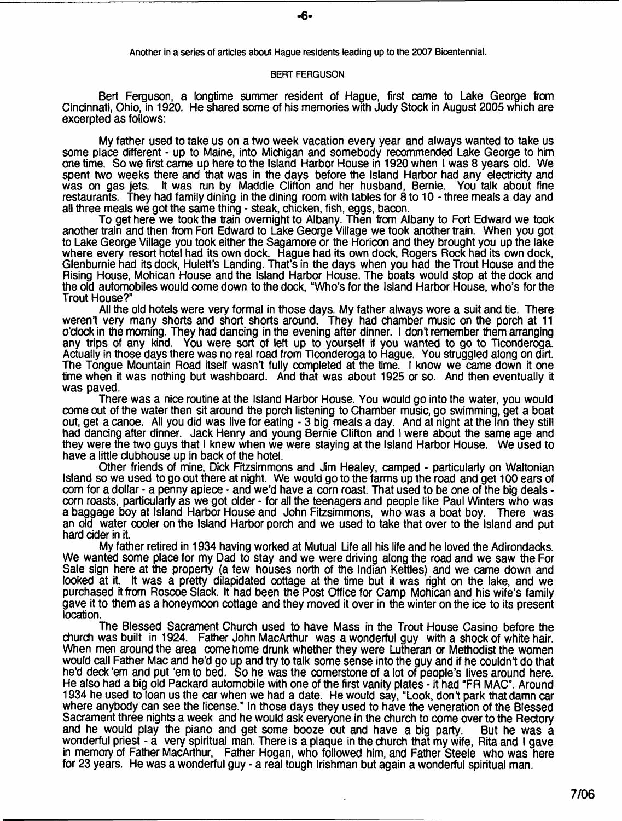**Another in a series of articles about Hague residents leading up to the 2007 Bicentennial.**

#### **BERT FERGUSON**

Bert Ferguson, a longtime summer resident of Hague, first came to Lake George from Cincinnati, Ohio, in 1920. He shared some of his memories with Judy Stock in August 2005 which are excerpted as follows:

My father used to take us on a two week vacation every year and always wanted to take us some place different - up to Maine, into Michigan and somebody recommended Lake George to him one time. So we first came up here to the Island Harbor House in 1920 when I was 8 years old. We spent two weeks there and that was in the days before the Island Harbor had any electricity and was on gas jets. It was run by Maddie Clifton and her husband, Bernie. You talk about fine restaurants. They had family dining in the dining room with tables for 8 to 10 - three meals a day and ail three meals we got the same thing - steak, chicken, fish, eggs, baoon.

To get here we took the train overnight to Albany. Then from Albany to Fort Edward we took another train and then from Fort Edward to Lake George Village we took another train. When you got to Lake George Village you took either the Sagamore or the Horicon and they brought you up the lake where every resort hotel had its own dock. Hague had its own dock, Rogers Rock had its own dock, Glenburnie had its dock, Hulett's Landing. That's in the days when you had the Trout House and the Rising House, Mohican House and the Island Harbor House. The boats would stop at the dock and the old automobiles would come down to the dock, "Who's for the Island Harbor House, who's for the Trout House?"

All the old hotels were very formal in those days. My father always wore a suit and tie. There weren't very many shorts and short shorts around. They had chamber music on the porch at 11 o'clock in the morning. They had dancing in the evening after dinner. I don't remember them arranging any trips of any kind. You were sort of left up to yourself if you wanted to go to Ticonderoga. Actually in those days there was no real road from Ticonderoga to Hague. You struggled along on dirt. The Tongue Mountain Road itself wasn't fully completed at the time. I know we came down it one time when it was nothing but washboard. And that was about 1925 or so. And then eventually it was paved.

There was a nice routine at the Island Harbor House. You would go into the water, you would come out of the water then sit around the porch listening to Chamber music, go swimming, get a boat out, get a canoe. All you did was live for eating - 3 big meals a day. And at night at the Inn they still had dancing after dinner. Jack Henry and young Bernie Clifton and I were about the same age and they were the two guys that I knew when we were staying at the Island Harbor House. We used to have a little clubhouse up in back of the hotel.

Other friends of mine, Dick Fitzsimmons and Jim Healey, camped - particularly on Waltonian Island so we used to go out there at night. We would go to the farms up the road and get 100 ears of corn for a dollar - a penny apiece - and we'd have a corn roast. That used to be one of the big deals corn roasts, particularly as we got older - for all the teenagers and people like Paul Winters who was a baggage boy at Island Harbor House and John Fitzsimmons, who was a boat boy. There was an old water cooler on the Island Harbor porch and we used to take that over to the Island and put hard cider in it.

My father retired in 1934 having worked at Mutual Life all his life and he loved the Adirondacks. We wanted some place for my Dad to stay and we were driving along the road and we saw the For Sale sign here at the property (a few houses north of the Indian Kettles) and we came down and looked at it. It was a pretty dilapidated cottage at the time but it was right on the lake, and we purchased it from Roscoe Slack. It had been the Post Office for Camp Mohican and his wife's family gave it to them as a honeymoon cottage and they moved it over in the winter on the ice to its present **location** 

The Blessed Sacrament Church used to have Mass in the Trout House Casino before the church was built in 1924. Father John MacArthur was a wonderful guy with a shock of white hair. When men around the area come home drunk whether they were Lutheran or Methodist the women would call Father Mac and he'd go up and try to talk some sense into the guy and if he couldn't do that he'd deck 'em and put 'em to bed. So he was the comerstone of a lot of people's lives around here. He also had a big old Packard automobile with one of the first vanity plates - it had "FR MAC". Around 1934 he used to loan us the car when we had a date. He would say, "Look, dont park that damn car where anybody can see the license." In those days they used to have the veneration of the Blessed Sacrament three nights a week and he would ask everyone in the church to come over to the Rectory and he would play the piano and get some booze out and have a big party. But he was a wonderful priest - a very spiritual man. There is a plaque in the church that my wife, Rita and I gave in memory of Father MacArthur, Father Hogan, who followed him, and Father Steele who was here for 23 years. He was a wonderful guy - a real tough Irishman but again a wonderful spiritual man.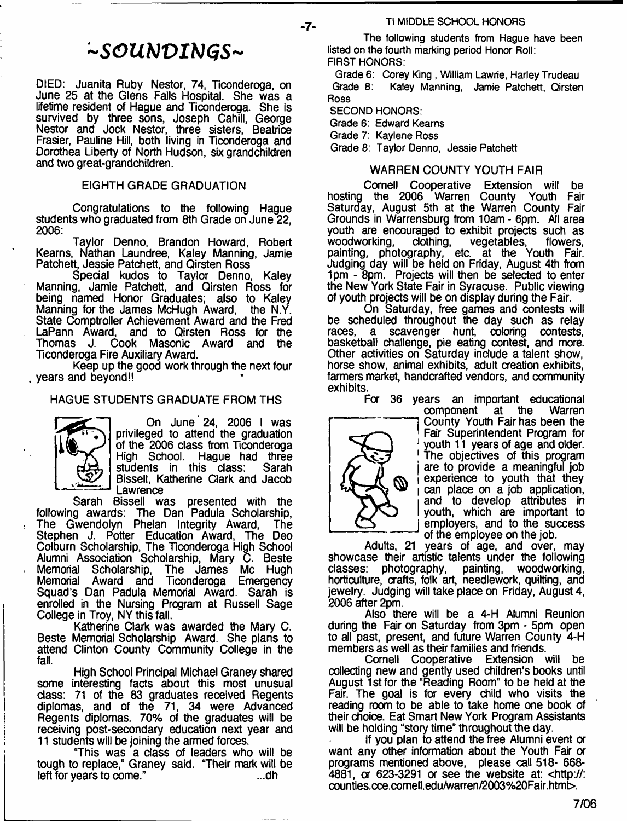# *- S O U N V I b J G S -*

DIED: Juanita Ruby Nestor, 74, Ticonderoga, on June 25 at the Glens Falls Hospital. She was a lifetime resident of Hague and Ticonderoga. She is survived by three sons, Joseph Cahill, George Nestor and Jock Nestor, three sisters, Beatrice Frasier, Pauline Hill, both living in Ticonderoga and Dorothea Liberty of North Hudson, six grandchildren and two great-grandchildren.

#### EIGHTH GRADE GRADUATION

Congratulations to the following Hague students who graduated from 8th Grade on June 22, 2006:

Taylor Denno, Brandon Howard, Robert Kearns, Nathan Laundree, Kaley Manning, Jamie Patchett, Jessie Patchett, and Qirsten Ross

Special kudos to Taylor Denno, Kaley Manning, Jamie Patchett, and Qirsten Ross for being named Honor Graduates; also to Kaley<br>Manning for the James McHugh Award, the N.Y. Manning for the James McHugh Award, State Comptroller Achievement Award and the Fred LaPann Award, and to Qirsten Ross for the Thomas J. Cook Masonic Award and the Ticonderoga Fire Auxiliary Award.

Keep up the good work through the next four years and beyond!!

# HAGUE STUDENTS GRADUATE FROM THS



On June 24, 2006 I was privileged to attend the graduation of the 2006 class from Ticonderoga High School. Hague had three<br>students in this class: Sarah students in this class: Bissell, Katherine Clark and Jacob Lawrence

Sarah Bissell was presented with the following awards: The Dan Padula Scholarship, The Gwendolyn Phelan Integrity Award, The Stephen J. Potter Education Award, The Deo Colburn Scholarship, The Ticonderoga High School Alumni Association Scholarship, Mary C. Beste Memorial Scholarship, The James Me Hugh Memorial Award and Ticonderoga Emergency Squad's Dan Padula Memorial Award. Sarah is enrolled in the Nursing Program at Russell Sage College in Troy, NY this fall.

Katherine Clark was awarded the Mary C. Beste Memorial Scholarship Award. She plans to attend Clinton County Community College in the fall.

High School Principal Michael Graney shared some interesting facts about this most unusual class: 71 of the 83 graduates received Regents diplomas, and of the 71, 34 were Advanced Regents diplomas. 70% of the graduates will be receiving post-secondary education next year and 11 students will be joining the armed forces.

"This was a class of leaders who will be tough to replace," Graney said. "Their mark will be left for years to come." left for years to come."

**The following students from Hague have been listed on the fourth marking period Honor Roll:**

**FIRST HONORS:**

**Grade 6: Corey King , William Lawrie, Harley Trudeau Grade 8: Kaley Manning, Jamie Patchett, Qirsten Ross**

**SECOND HONORS:**

**Grade 6: Edward Kearns**

**Grade 7: Kaylene Ross**

**Grade 8: Taylor Denno, Jessie Patchett**

### WARREN COUNTY YOUTH FAIR

Cornell Cooperative Extension will be hosting the 2006 Warren County Youth Fair Saturday, August 5th at the Warren County Fair Grounds in Warrensburg from 10am - 6pm. All area youth are encouraged to exhibit projects such as woodworking, clothing, vegetables, flowers, painting, photography, etc. at the Youth Fair. Judging day will be held on Friday, August 4th from 1pm - 8pm. Projects will then be selected to enter the New York State Fair in Syracuse. Public viewing of youth projects will be on display during the Fair.

On Saturday, free games and contests will be scheduled throughout the day such as relay races. a scavenger hunt. coloring contests. scavenger hunt, coloring contests, basketball challenge, pie eating contest, and more. Other activities on Saturday include a talent show, horse show, animal exhibits, adult creation exhibits, farmers market, handcrafted vendors, and community exhibits.

For 36 years an important educational



at the County Youth Fair has been the Fair Superintendent Program for youth 11 years of age and older. The objectives of this program are to provide a meaningful job experience to youth that they can place on a job application, and to develop attributes in youth, which are important to employers, and to the success of the employee on the job.

Adults, 21 years of age, and over, may showcase their artistic talents under the following classes: photography, painting, woodworking, painting, woodworking, horticulture, crafts, folk art, needlework, quilting, and jewelry. Judging will take place on Friday, August 4, 2006 after 2pm.

Also there will be a 4-H Alumni Reunion during the Fair on Saturday from 3pm - 5pm open to all past, present, and future Warren County 4-H members as well as their families and friends.

Cornell Cooperative Extension will be collecting new and gently used children's books until August 1st for the "Reading Room" to be held at the Fair. The goal is for every child who visits the reading room to be able to take home one book of their choice. Eat Smart New York Program Assistants will be holding "story time" throughout the day.

If you plan to attend the free Alumni event or want any other information about the Youth Fair or programs mentioned above, please call 518- 668- 4881, or 623-3291 or see the website at: [<http://:](http://:%e2%80%a8counties.cce.comell.edu/warren/2003%20Fair.html) [counties.cce.comell.edu/warren/2003%20Fair.html](http://:%e2%80%a8counties.cce.comell.edu/warren/2003%20Fair.html)>.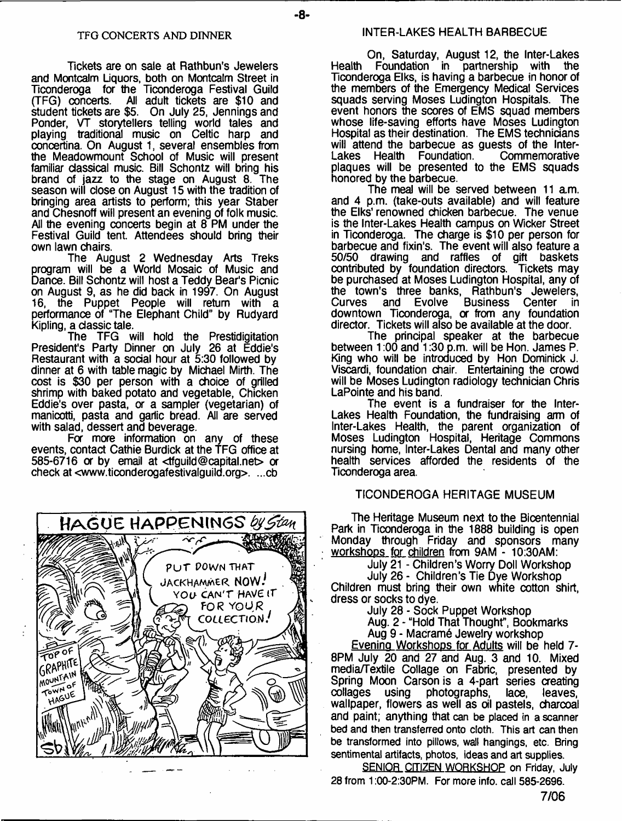Tickets are on sale at Rathbun's Jewelers and Montcalm Liquors, both on Montcalm Street in Ticonderoga for the Ticonderoga Festival Guild All adult tickets are \$10 and student tickets are \$5. On July 25, Jennings and Ponder, VT storytellers telling world tales and playing traditional music on Celtic harp and concertina. On August 1, several ensembles from the Meadowmount School of Music will present familiar classical music. Bill Schontz will bring his brand of jazz to the stage on August 8. The season will dose on August 15 with the tradition of bringing area artists to perform; this year Staber and Chesnoff will present an evening of folk music. All the evening concerts begin at 8 PM under the Festival Guild tent. Attendees should bring their own lawn chairs.

The August 2 Wednesday Arts Treks program will be a World Mosaic of Music and Dance. Bill Schontz will host a Teddy Bear's Picnic on August 9, as he did back in 1997. On August 16, the Puppet People will return with a performance of "The Elephant Child" by Rudyard Kipling, a classic tale.

The TFG will hold the Prestidigitation President's Party Dinner on July 26 at Eddie's Restaurant with a sodal hour at 5:30 followed by dinner at 6 with table magic by Michael Mirth. The cost is \$30 per person with a choice of grilled shrimp with baked potato and vegetable, Chicken Eddie's over pasta, or a sampler (vegetarian) of manicotti, pasta and garlic bread. All are served with salad, dessert and beverage.

For more information on any of these events, contact Cathie Burdick at the TFG office at 585-6716 or by email at  $\text{trivial}$  expiriments or check at [<www.ticonderogafestivalguild.org>](http://www.ticonderogafestivalguild.org). ...cb



On, Saturday, August 12, the Inter-Lakes Health Foundation in partnership with the Ticonderoga Elks, is having a barbecue in honor of the members of the Emergency Medical Services squads serving Moses Ludington Hospitals. The event honors the scores of EMS squad members whose life-saving efforts have Moses Ludington Hospital as their destination. The EMS technicians will attend the barbecue as guests of the Inter-<br>Lakes Health Foundation. Commemorative Health Foundation. plaques will be presented to the EMS squads honored by the barbecue.

The meal will be served between 11 am. and 4 p.m. (take-outs available) and will feature the Elks' renowned chicken barbecue. The venue is the Inter-Lakes Health campus on Wicker Street in Ticonderoga. The charge is \$10 per person for barbecue and fixin's. The event will also feature a 50/50 drawing and raffles of gift baskets contributed by foundation directors. Tickets may be purchased at Moses Ludington Hospital, any of the town's three banks, Rathbun's Jewelers, Curves and Evolve Business Center in downtown Ticonderoga, or from any foundation director. Tickets will also be available at the door.

The principal speaker at the barbecue between 1:00 and 1:30 p.m. will be Hon. James P. King who will be introduced by Hon Dominick **J.** Viscardi, foundation chair. Entertaining the crowd will be Moses Ludington radiology technician Chris LaPointe and his band.

The event is a fundraiser for the Inter-Lakes Health Foundation, the fundraising arm of Inter-Lakes Health, the parent organization of Moses Ludington Hospital, Heritage Commons nursing home, Inter-Lakes Dental and many other health services afforded the residents of the Ticonderoga area.

#### TICONDEROGA HERITAGE MUSEUM

The Heritage Museum next to the Bicentennial Park in Ticonderoga in the 1888 building is open Monday through Friday and sponsors many workshops for children from 9AM - 10:30AM:

July 21 - Children's Worry Doll Workshop

July 26 - Children's Tie Dye Workshop Children must bring their own white cotton shirt,

dress or socks to dye. July 28 - Sock Puppet Workshop

Aug. 2 - "Hold That Thought", Bookmarks Aug 9 - Macramé Jewelry workshop

Evening Workshops for Adults will be held 7- 8PM July 20 and 27 and Aug. 3 and 10. Mixed media/Textile Collage on Fabric, presented by Spring Moon Carson is a 4-part series creating collages using photographs, lace, leaves, wallpaper, flowers as well as oil pastels, charcoal and paint; anything that **can be placed in a scanner bed and then transferred onto cloth. This art can then be transformed into pillows, wall hangings, etc. Bring sentimental artifacts, photos, ideas and art supplies.**

**SENIOR CITIZEN WORKSHOP on Friday, July 28 from 1:00-2:30PM. For more info, call 585-2696.**

**7/06**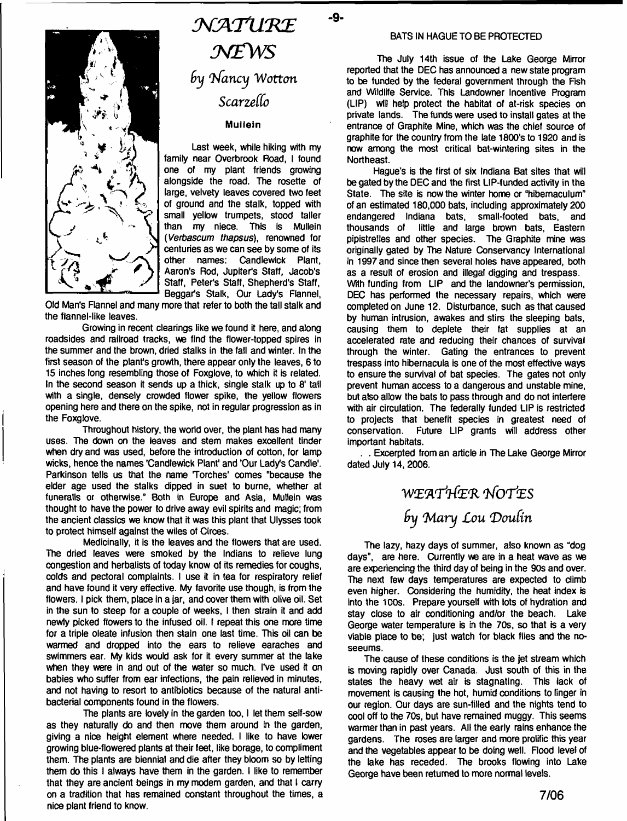

# $\mathcal{N}ATURE$ *N £ W S by Infancy Wotton Scarzello*

-9-

### **Mullein**

**Last week, while hiking with my family near Overbrook Road, I found one of my plant friends growing alongside the road. The rosette of large, velvety leaves covered two feet of ground and the stalk, topped with small yellow trumpets, stood taller** than my niece. *(Verbascum thapsus),* **renowned for centuries as we can see by some of its** Candlewick Plant, **Aaron's Rod, Jupiter's Staff, Jacob's Staff, Peter's Staff, Shepherd's Staff, Beggar's Stalk, Our Lady's Flannel,**

**Old Man's Flannel and many more that refer to both the tall stalk and the flannel-like leaves.**

**Growing in recent clearings like we found it here, and along roadsides and railroad tracks, we find the flower-topped spires in the summer and the brown, dried stalks in the fall and winter. In the first season of the plant's growth, there appear only the leaves, 6 to 15 inches long resembling those of Foxglove, to which it is related. In the second season it sends up a thick, single stalk up to 8' tall with a single, densely crowded flower spike, the yellow flowers opening here and there on the spike, not in regular progression as in the Foxglove.**

**Throughout history, the world over, the plant has had many uses. The down on the leaves and stem makes excellent tinder when dry and was used, before the introduction of cotton, for lamp wicks, hence the names 'Candlewick Plant' and 'Our Lady's Candle'. Parkinson tells us that the name Torches' comes "because the elder age used the stalks dipped in suet to burne, whether at funeratls or otherwise." Both in Europe and Asia, Mullein was thought to have the power to drive away evil spirits and magic: from the ancient classics we know that it was this plant that Ulysses took to protect himself against the wiles of Circes.**

**Medicinally, it is the leaves and the flowers that are used. The dried leaves were smoked by the Indians to relieve lung congestion and herbalists of today know of its remedies for coughs, colds and pectoral complaints. I use it in tea for respiratory relief and have found it very effective. My favorite use though, is from the** flowers. I pick them, place in a jar, and cover them with olive oil. Set **in the sun to steep for a couple of weeks, I then strain it and add newly picked flowers to the infused oil. I repeat this one more time for a triple oleate infusion then stain one last time. This oil can be warmed and dropped into the ears to relieve earaches and swimmers ear. My kids would ask for it every summer at the lake when they were in and out of the water so much. I've used it on babies who suffer from ear infections, the pain relieved in minutes, and not having to resort to antibiotics because of the natural antibacterial components found in the flowers.**

**The plants are lovely in the garden too, I let them self-sow as they naturally do and then move them around in the garden, giving a nice height element where needed. I like to have lower growing blue-flowered plants at their feet, like borage, to compliment them. The plants are biennial and die after they bloom so by letting them do this I always have them in the garden. I like to remember that they are ancient beings in my modem garden, and that I carry on a tradition that has remained constant throughout the times, a nice plant friend to know.**

#### **BATS IN HAGUE TO BE PROTECTED**

**The July 14th issue of the Lake George Mirror reported that the DEC has announced a new state program to be funded by the federal government through the Fish and Wildlife Service. This Landowner Incentive Program (LIP) will help protect the habitat of at-risk species on private lands. The funds were used to install gates at the entrance of Graphite Mine, which was the chief source of graphite for the country from the late 1800's to 1920 and is now among the most critical bat-wintering sites in the Northeast.**

**Hague's is the first of six Indiana Bat sites that will be gated by the DEC and the first LIP-funded activity in the State. The site is now the winter home or "hibemaculum" of an estimated 180,000 bats, including approximately 200 endangered Indiana bats, small-footed bats, and** little and large brown bats, Eastern **pipistrelles and other species. The Graphite mine was originally gated by The Nature Conservancy International in 1997 and since then several holes have appeared, both as a result of erosion and illegal digging and trespass. With funding from LIP and the landowner's permission, DEC has performed the necessary repairs, which were completed on June 12. Disturbance, such as that caused by human intrusion, awakes and stirs the sleeping bats, causing them to deplete their fat supplies at an accelerated rate and reducing their chances of survival through the winter. Gating the entrances to prevent trespass into hibernacula is one of the most effective ways to ensure the survival of bat species. The gates not only prevent human access to a dangerous and unstable mine, but also allow the bats to pass through and do not interfere with air circulation. The federally funded LIP is restricted to projects that benefit species in greatest need of** Future LIP grants will address other **important habitats.**

**. . Excerpted from an article in The Lake George Mirror dated July 14, 2006.**

# WE'A'rt&R *lWOTiES* by Mary Lou Doulin

**The lazy, hazy days of summer, also known as "dog days", are here. Currently we are in a heat wave as we are experiencing the third day of being in the 90s and over. The next few days temperatures are expected to climb even higher. Considering the humidity, the heat index is into the 100s. Prepare yourself with lots of hydration and stay close to air conditioning and/or the beach. Lake George water temperature is in the 70s, so that is a very viable place to be; just watch for black flies and the noseeums.**

**The cause of these conditions is the jet stream which is moving rapidly over Canada. Just south of this in the states the heavy wet air is stagnating. This lack of movement is causing the hot, humid conditions to linger in our region. Our days are sun-filled and the nights tend to cool off to the 70s, but have remained muggy. This seems warmer than in past years. All the early rains enhance the gardens. The roses are larger and more prolific this year and the vegetables appear to be doing well. Flood level of the lake has receded. The brooks flowing into Lake George have been returned to more normal levels.**